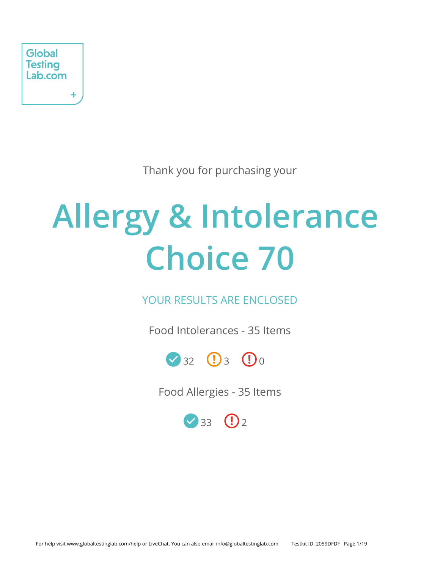

Thank you for purchasing your

# **Allergy & Intolerance Choice 70**

YOUR RESULTS ARE ENCLOSED

Food Intolerances - 35 Items



Food Allergies - 35 Items

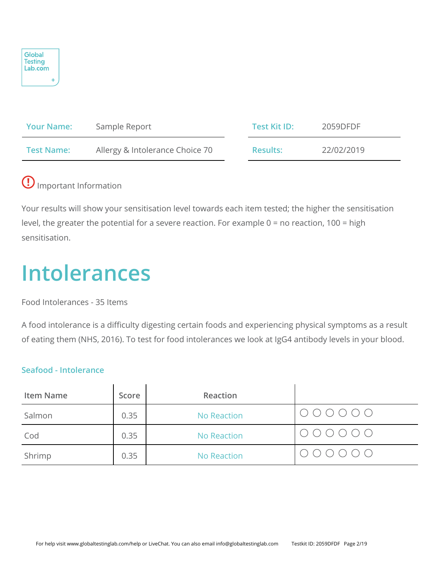

| <b>Your Name:</b> | Sample Report                   | Test Kit ID:    | 2059DFDF   |
|-------------------|---------------------------------|-----------------|------------|
| <b>Test Name:</b> | Allergy & Intolerance Choice 70 | <b>Results:</b> | 22/02/2019 |

# Important Information

Your results will show your sensitisation level towards each item tested; the higher the sensitisation level, the greater the potential for a severe reaction. For example 0 = no reaction, 100 = high sensitisation.

# **Intolerances**

Food Intolerances - 35 Items

A food intolerance is a difficulty digesting certain foods and experiencing physical symptoms as a result of eating them (NHS, 2016). To test for food intolerances we look at IgG4 antibody levels in your blood.

## **Seafood - Intolerance**

| <b>Item Name</b> | Score | Reaction    |                                                                                                                       |
|------------------|-------|-------------|-----------------------------------------------------------------------------------------------------------------------|
| Salmon           | 0.35  | No Reaction | $\begin{array}{cccccccccc} \circ & \circ & \circ & \circ & \circ & \circ & \circ \end{array}$                         |
| Cod              | 0.35  | No Reaction | $\begin{array}{ccc} \circ & \circ & \circ & \circ & \circ \circ \end{array}$                                          |
| Shrimp           | 0.35  | No Reaction | $\begin{array}{ccccccccccccc} \bigcirc & \bigcirc & \bigcirc & \bigcirc & \bigcirc & \bigcirc & \bigcirc \end{array}$ |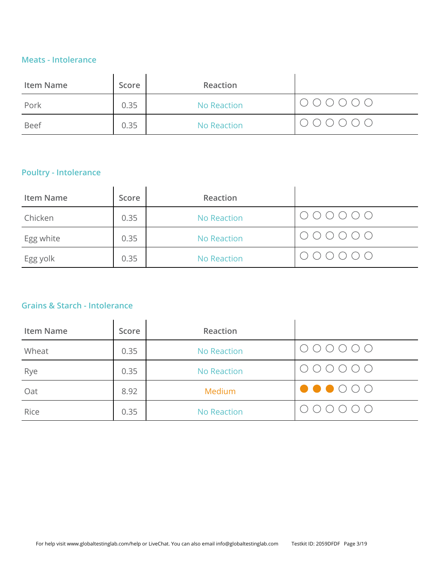### **Meats - Intolerance**

| <b>Item Name</b> | Score | Reaction    |                                                                              |
|------------------|-------|-------------|------------------------------------------------------------------------------|
| Pork             | 0.35  | No Reaction | $\begin{array}{ccc} \circ & \circ & \circ & \circ & \circ \circ \end{array}$ |
| <b>Beef</b>      | 0.35  | No Reaction | $\begin{array}{ccc} \circ & \circ & \circ & \circ & \circ \circ \end{array}$ |

# **Poultry - Intolerance**

| <b>Item Name</b> | Score | Reaction           |                                                                              |
|------------------|-------|--------------------|------------------------------------------------------------------------------|
| Chicken          | 0.35  | <b>No Reaction</b> | $\bigcirc \bigcirc \bigcirc \bigcirc \bigcirc \bigcirc$                      |
| Egg white        | 0.35  | <b>No Reaction</b> | $\begin{array}{ccc} \circ & \circ & \circ & \circ & \circ \circ \end{array}$ |
| Egg yolk         | 0.35  | <b>No Reaction</b> | 0 0 0 0 0 0                                                                  |

# **Grains & Starch - Intolerance**

| <b>Item Name</b> | Score | Reaction           |                                                                        |
|------------------|-------|--------------------|------------------------------------------------------------------------|
| Wheat            | 0.35  | <b>No Reaction</b> | $\begin{array}{ccc} \circ & \circ & \circ & \circ & \circ \end{array}$ |
| Rye              | 0.35  | <b>No Reaction</b> | $\circ \circ \circ \circ \circ \circ$                                  |
| Oat              | 8.92  | Medium             | $\bullet\bullet\circ\circ\circ$                                        |
| Rice             | 0.35  | <b>No Reaction</b> | $\begin{array}{c} \circ \\ \circ \\ \circ \end{array}$                 |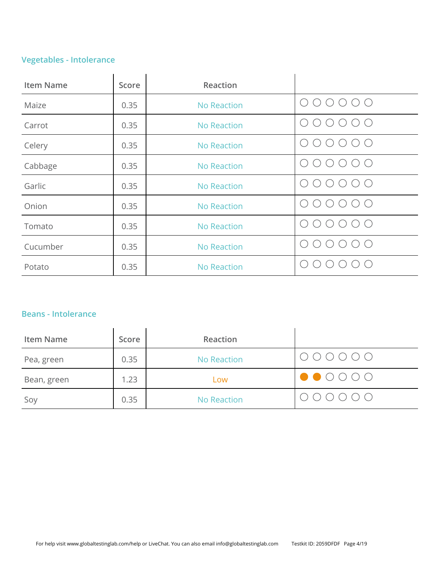# **Vegetables - Intolerance**

| <b>Item Name</b> | Score | Reaction           |                                             |
|------------------|-------|--------------------|---------------------------------------------|
| Maize            | 0.35  | <b>No Reaction</b> | (                                           |
| Carrot           | 0.35  | <b>No Reaction</b> |                                             |
| Celery           | 0.35  | <b>No Reaction</b> | ( )                                         |
| Cabbage          | 0.35  | <b>No Reaction</b> | $\sqrt{2}$                                  |
| Garlic           | 0.35  | <b>No Reaction</b> | $( \ )$                                     |
| Onion            | 0.35  | <b>No Reaction</b> |                                             |
| Tomato           | 0.35  | <b>No Reaction</b> | $\left(\begin{array}{c} \end{array}\right)$ |
| Cucumber         | 0.35  | <b>No Reaction</b> |                                             |
| Potato           | 0.35  | <b>No Reaction</b> |                                             |

### **Beans - Intolerance**

| <b>Item Name</b> | Score | Reaction    |                                                                                                                                                                                                                                                                                                                                                                                                                                        |
|------------------|-------|-------------|----------------------------------------------------------------------------------------------------------------------------------------------------------------------------------------------------------------------------------------------------------------------------------------------------------------------------------------------------------------------------------------------------------------------------------------|
| Pea, green       | 0.35  | No Reaction | $\begin{array}{ccc} \circ & \circ & \circ & \circ & \circ \circ \end{array}$                                                                                                                                                                                                                                                                                                                                                           |
| Bean, green      | 1.23  | Low         | $\begin{array}{ c c c c c }\n\hline\n\bullet\hspace{-4.2mm} & \circ\hspace{-4.2mm} & \circ\hspace{-4.2mm} & \circ\hspace{-4.2mm} & \circ\hspace{-4.2mm} & \circ\hspace{-4.2mm} & \circ\hspace{-4.2mm} & \circ\hspace{-4.2mm} & \circ\hspace{-4.2mm} & \circ\hspace{-4.2mm} & \circ\hspace{-4.2mm} & \circ\hspace{-4.2mm} & \circ\hspace{-4.2mm} & \circ\hspace{-4.2mm} & \circ\hspace{-4.2mm} & \circ\hspace{-4.2mm} & \circ\hspace{-$ |
| Soy              | 0.35  | No Reaction | $\bigcirc \bigcirc \bigcirc \bigcirc \bigcirc \bigcirc$                                                                                                                                                                                                                                                                                                                                                                                |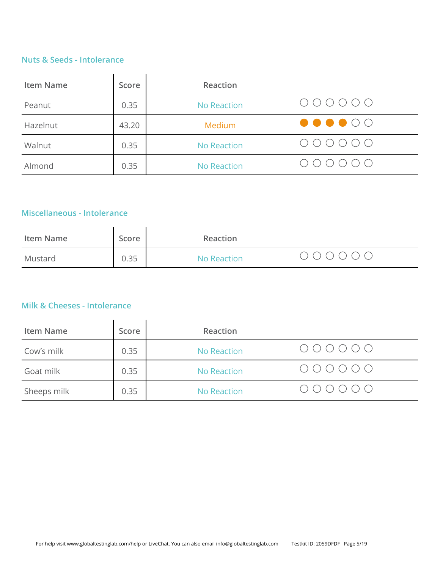### **Nuts & Seeds - Intolerance**

| <b>Item Name</b> | Score | Reaction           |                                                                              |
|------------------|-------|--------------------|------------------------------------------------------------------------------|
| Peanut           | 0.35  | No Reaction        | $\begin{array}{ccc} \circ & \circ & \circ & \circ & \circ \circ \end{array}$ |
| Hazelnut         | 43.20 | Medium             | $\bullet\bullet\bullet\circ\circ$                                            |
| Walnut           | 0.35  | <b>No Reaction</b> | 0 0 0 0 0 0                                                                  |
| Almond           | 0.35  | No Reaction        | $\bigcirc \bigcirc \bigcirc \bigcirc \bigcirc \bigcirc \bigcirc$             |

# **Miscellaneous - Intolerance**

| Item Name | Score | Reaction    |  |
|-----------|-------|-------------|--|
| Mustard   | 0.35  | No Reaction |  |

# **Milk & Cheeses - Intolerance**

| <b>Item Name</b> | Score | Reaction           |                                                                                                  |
|------------------|-------|--------------------|--------------------------------------------------------------------------------------------------|
| Cow's milk       | 0.35  | No Reaction        | $\begin{array}{ccccccccccccc} \circ & \circ & \circ & \circ & \circ & \circ & \circ \end{array}$ |
| Goat milk        | 0.35  | No Reaction        | $\bigcirc \circ \circ \circ \circ \circ \circ$                                                   |
| Sheeps milk      | 0.35  | <b>No Reaction</b> | $\bigcirc \bigcirc \bigcirc \bigcirc \bigcirc \bigcirc \bigcirc$                                 |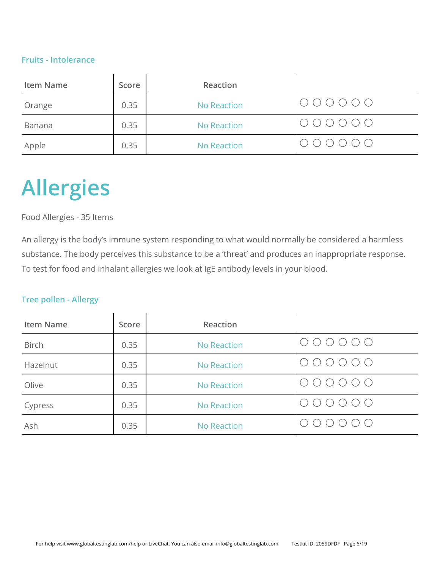### **Fruits - Intolerance**

| <b>Item Name</b> | Score | Reaction           |                                                         |
|------------------|-------|--------------------|---------------------------------------------------------|
| Orange           | 0.35  | <b>No Reaction</b> | $\bigcirc \bigcirc \bigcirc \bigcirc \bigcirc \bigcirc$ |
| Banana           | 0.35  | <b>No Reaction</b> | $\bigcirc \circ \circ \circ \circ \circ \circ$          |
| Apple            | 0.35  | <b>No Reaction</b> | $000000$                                                |

# **Allergies**

### Food Allergies - 35 Items

An allergy is the body's immune system responding to what would normally be considered a harmless substance. The body perceives this substance to be a 'threat' and produces an inappropriate response. To test for food and inhalant allergies we look at IgE antibody levels in your blood.

### **Tree pollen - Allergy**

| <b>Item Name</b> | Score | Reaction           |                               |
|------------------|-------|--------------------|-------------------------------|
| <b>Birch</b>     | 0.35  | <b>No Reaction</b> | O O O                         |
| Hazelnut         | 0.35  | <b>No Reaction</b> | U () ()                       |
| Olive            | 0.35  | <b>No Reaction</b> | $\circlearrowright$<br>・(_) 。 |
| Cypress          | 0.35  | <b>No Reaction</b> | ()()                          |
| Ash              | 0.35  | <b>No Reaction</b> |                               |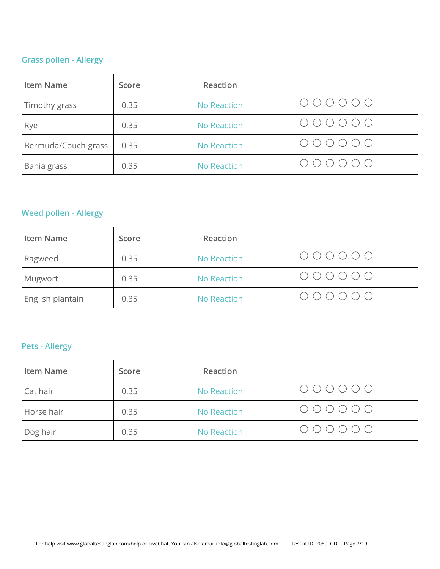# **Grass pollen - Allergy**

| <b>Item Name</b>    | Score | Reaction           |                                                                          |
|---------------------|-------|--------------------|--------------------------------------------------------------------------|
| Timothy grass       | 0.35  | No Reaction        | $\circ \circ \circ \circ \circ \circ \circ$                              |
| Rye                 | 0.35  | <b>No Reaction</b> |                                                                          |
| Bermuda/Couch grass | 0.35  | <b>No Reaction</b> | $\begin{array}{ccc} & \circ & \circ & \circ & \circ & \circ \end{array}$ |
| Bahia grass         | 0.35  | <b>No Reaction</b> |                                                                          |

# **Weed pollen - Allergy**

| <b>Item Name</b> | Score | Reaction           |                                                                              |
|------------------|-------|--------------------|------------------------------------------------------------------------------|
| Ragweed          | 0.35  | No Reaction        | $\bigcirc \circ \circ \circ \circ \circ \circ$                               |
| Mugwort          | 0.35  | <b>No Reaction</b> | $\begin{array}{ccc} \circ & \circ & \circ & \circ & \circ \circ \end{array}$ |
| English plantain | 0.35  | No Reaction        | $\begin{array}{ccc} \circ & \circ & \circ & \circ & \circ \circ \end{array}$ |

# **Pets - Allergy**

| <b>Item Name</b> | Score | Reaction           |                                                         |
|------------------|-------|--------------------|---------------------------------------------------------|
| Cat hair         | 0.35  | <b>No Reaction</b> | $\bigcirc \bigcirc \bigcirc \bigcirc \bigcirc \bigcirc$ |
| Horse hair       | 0.35  | <b>No Reaction</b> | $\bigcirc \bigcirc \bigcirc \bigcirc \bigcirc \bigcirc$ |
| Dog hair         | 0.35  | <b>No Reaction</b> | 000000                                                  |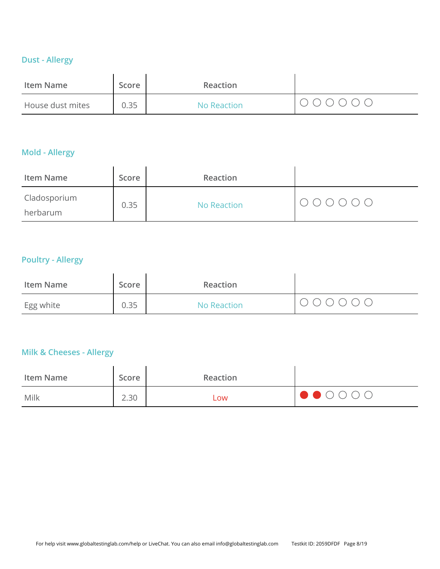# **Dust - Allergy**

| Item Name        | Score | Reaction    |         |
|------------------|-------|-------------|---------|
| House dust mites | 0.35  | No Reaction | 1000000 |

# **Mold - Allergy**

| <b>Item Name</b>         | Score | Reaction    |                                  |
|--------------------------|-------|-------------|----------------------------------|
| Cladosporium<br>herbarum | 0.35  | No Reaction | $\circ\circ\circ\circ\circ\circ$ |

# **Poultry - Allergy**

| Item Name | Score | Reaction    |  |
|-----------|-------|-------------|--|
| Egg white | 0.35  | No Reaction |  |

### **Milk & Cheeses - Allergy**

| <b>Item Name</b> | Score | Reaction |                                                                                                                                                                                                                                                                                                                                                                                                                                        |
|------------------|-------|----------|----------------------------------------------------------------------------------------------------------------------------------------------------------------------------------------------------------------------------------------------------------------------------------------------------------------------------------------------------------------------------------------------------------------------------------------|
| Milk             | 2.30  | Low      | $\begin{array}{ c c c c c }\n\hline\n\bullet\hspace{-4.2mm} & \circ\hspace{-4.2mm} & \circ\hspace{-4.2mm} & \circ\hspace{-4.2mm} & \circ\hspace{-4.2mm} & \circ\hspace{-4.2mm} & \circ\hspace{-4.2mm} & \circ\hspace{-4.2mm} & \circ\hspace{-4.2mm} & \circ\hspace{-4.2mm} & \circ\hspace{-4.2mm} & \circ\hspace{-4.2mm} & \circ\hspace{-4.2mm} & \circ\hspace{-4.2mm} & \circ\hspace{-4.2mm} & \circ\hspace{-4.2mm} & \circ\hspace{-$ |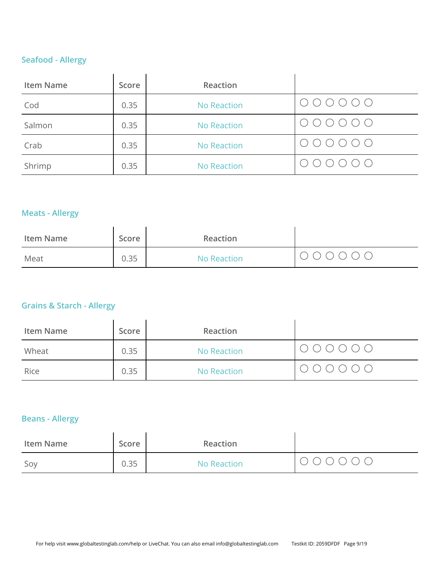# **Seafood - Allergy**

| <b>Item Name</b> | Score | Reaction           |                                                                        |
|------------------|-------|--------------------|------------------------------------------------------------------------|
| Cod              | 0.35  | No Reaction        | $\circ \circ \circ \circ \circ \circ \circ$                            |
| Salmon           | 0.35  | <b>No Reaction</b> | $\begin{array}{ccc} \circ & \circ & \circ & \circ & \circ \end{array}$ |
| Crab             | 0.35  | <b>No Reaction</b> | $\circ \circ \circ \circ \circ \circ \circ$                            |
| Shrimp           | 0.35  | <b>No Reaction</b> | 000000                                                                 |

# **Meats - Allergy**

| <b>Item Name</b> | Score | Reaction    |  |
|------------------|-------|-------------|--|
| Meat             | 0.35  | No Reaction |  |

# **Grains & Starch - Allergy**

| <b>Item Name</b> | Score | Reaction    |                                                                                                  |
|------------------|-------|-------------|--------------------------------------------------------------------------------------------------|
| Wheat            | 0.35  | No Reaction | $\begin{array}{ccccccccccccc} \circ & \circ & \circ & \circ & \circ & \circ & \circ \end{array}$ |
| Rice             | 0.35  | No Reaction | $\begin{array}{ccccccccccccc} \circ & \circ & \circ & \circ & \circ & \circ & \circ \end{array}$ |

# **Beans - Allergy**

| <b>Item Name</b> | Score | Reaction    |        |
|------------------|-------|-------------|--------|
| Soy              | 0.35  | No Reaction | 000000 |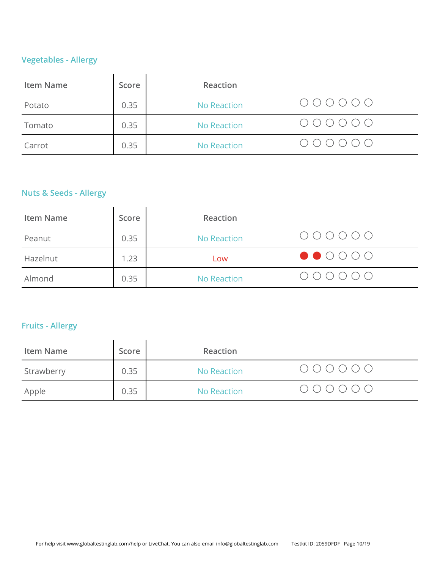# **Vegetables - Allergy**

| <b>Item Name</b> | Score | Reaction           |                                                         |
|------------------|-------|--------------------|---------------------------------------------------------|
| Potato           | 0.35  | <b>No Reaction</b> |                                                         |
| Tomato           | 0.35  | No Reaction        | $\bigcirc \bigcirc \bigcirc \bigcirc \bigcirc \bigcirc$ |
| Carrot           | 0.35  | <b>No Reaction</b> |                                                         |

# **Nuts & Seeds - Allergy**

| <b>Item Name</b> | Score | Reaction    |                                                                                                                                                                                                                                                                                                                                                                                                                                                                          |
|------------------|-------|-------------|--------------------------------------------------------------------------------------------------------------------------------------------------------------------------------------------------------------------------------------------------------------------------------------------------------------------------------------------------------------------------------------------------------------------------------------------------------------------------|
| Peanut           | 0.35  | No Reaction | $\bigcirc \circ \circ \circ \circ \circ \circ$                                                                                                                                                                                                                                                                                                                                                                                                                           |
| Hazelnut         | 1.23  | Low         | $\begin{array}{ c c c c c }\n\hline\n\bullet\hspace{-2pt} & \circ\hspace{-2pt} & \circ\hspace{-2pt} & \circ\hspace{-2pt} & \circ\hspace{-2pt} & \circ\hspace{-2pt} & \circ\hspace{-2pt} & \circ\hspace{-2pt} & \circ\hspace{-2pt} & \circ\hspace{-2pt} & \circ\hspace{-2pt} & \circ\hspace{-2pt} & \circ\hspace{-2pt} & \circ\hspace{-2pt} & \circ\hspace{-2pt} & \circ\hspace{-2pt} & \circ\hspace{-2pt} & \circ\hspace{-2pt} & \circ\hspace{-2pt} & \circ\hspace{-2pt$ |
| Almond           | 0.35  | No Reaction | $\begin{array}{ccc} \circ & \circ & \circ & \circ & \circ \circ \end{array}$                                                                                                                                                                                                                                                                                                                                                                                             |

# **Fruits - Allergy**

| <b>Item Name</b> | Score | Reaction           |                                                |
|------------------|-------|--------------------|------------------------------------------------|
| Strawberry       | 0.35  | No Reaction        | $\bigcirc \circ \circ \circ \circ \circ \circ$ |
| Apple            | 0.35  | <b>No Reaction</b> | $\circ\circ\circ\circ\circ\circ$               |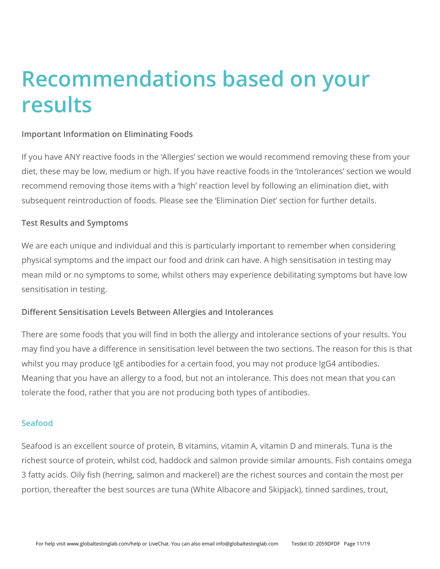# **Recommendations based on your results**

### **Important Information on Eliminating Foods**

If you have ANY reactive foods in the 'Allergies' section we would recommend removing these from your diet, these may be low, medium or high. If you have reactive foods in the 'Intolerances' section we would recommend removing those items with a 'high' reaction level by following an elimination diet, with subsequent reintroduction of foods. Please see the 'Elimination Diet' section for further details.

### **Test Results and Symptoms**

We are each unique and individual and this is particularly important to remember when considering physical symptoms and the impact our food and drink can have. A high sensitisation in testing may mean mild or no symptoms to some, whilst others may experience debilitating symptoms but have low sensitisation in testing.

### **Different Sensitisation Levels Between Allergies and Intolerances**

There are some foods that you will find in both the allergy and intolerance sections of your results. You may find you have a difference in sensitisation level between the two sections. The reason for this is that whilst you may produce IgE antibodies for a certain food, you may not produce IgG4 antibodies. Meaning that you have an allergy to a food, but not an intolerance. This does not mean that you can tolerate the food, rather that you are not producing both types of antibodies.

### **Seafood**

Seafood is an excellent source of protein, B vitamins, vitamin A, vitamin D and minerals. Tuna is the richest source of protein, whilst cod, haddock and salmon provide similar amounts. Fish contains omega 3 fatty acids. Oily fish (herring, salmon and mackerel) are the richest sources and contain the most per portion, thereafter the best sources are tuna (White Albacore and Skipjack), tinned sardines, trout,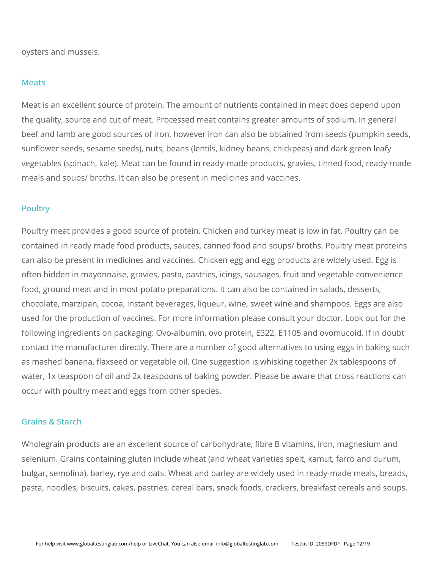oysters and mussels.

### **Meats**

Meat is an excellent source of protein. The amount of nutrients contained in meat does depend upon the quality, source and cut of meat. Processed meat contains greater amounts of sodium. In general beef and lamb are good sources of iron, however iron can also be obtained from seeds (pumpkin seeds, sunflower seeds, sesame seeds), nuts, beans (lentils, kidney beans, chickpeas) and dark green leafy vegetables (spinach, kale). Meat can be found in ready-made products, gravies, tinned food, ready-made meals and soups/ broths. It can also be present in medicines and vaccines.

### **Poultry**

Poultry meat provides a good source of protein. Chicken and turkey meat is low in fat. Poultry can be contained in ready made food products, sauces, canned food and soups/ broths. Poultry meat proteins can also be present in medicines and vaccines. Chicken egg and egg products are widely used. Egg is often hidden in mayonnaise, gravies, pasta, pastries, icings, sausages, fruit and vegetable convenience food, ground meat and in most potato preparations. It can also be contained in salads, desserts, chocolate, marzipan, cocoa, instant beverages, liqueur, wine, sweet wine and shampoos. Eggs are also used for the production of vaccines. For more information please consult your doctor. Look out for the following ingredients on packaging: Ovo-albumin, ovo protein, E322, E1105 and ovomucoid. If in doubt contact the manufacturer directly. There are a number of good alternatives to using eggs in baking such as mashed banana, flaxseed or vegetable oil. One suggestion is whisking together 2x tablespoons of water, 1x teaspoon of oil and 2x teaspoons of baking powder. Please be aware that cross reactions can occur with poultry meat and eggs from other species.

### **Grains & Starch**

Wholegrain products are an excellent source of carbohydrate, fibre B vitamins, iron, magnesium and selenium. Grains containing gluten include wheat (and wheat varieties spelt, kamut, farro and durum, bulgar, semolina), barley, rye and oats. Wheat and barley are widely used in ready-made meals, breads, pasta, noodles, biscuits, cakes, pastries, cereal bars, snack foods, crackers, breakfast cereals and soups.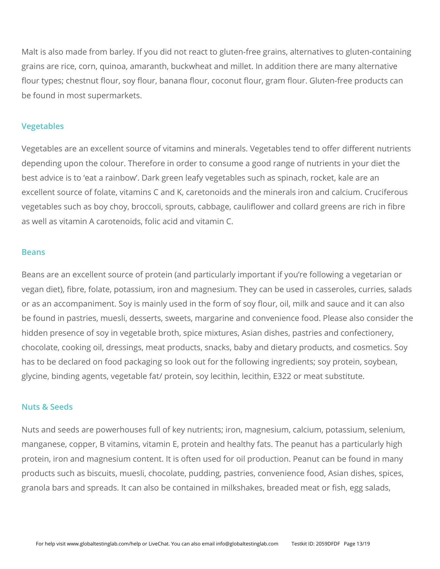Malt is also made from barley. If you did not react to gluten-free grains, alternatives to gluten-containing grains are rice, corn, quinoa, amaranth, buckwheat and millet. In addition there are many alternative flour types; chestnut flour, soy flour, banana flour, coconut flour, gram flour. Gluten-free products can be found in most supermarkets.

### **Vegetables**

Vegetables are an excellent source of vitamins and minerals. Vegetables tend to offer different nutrients depending upon the colour. Therefore in order to consume a good range of nutrients in your diet the best advice is to 'eat a rainbow'. Dark green leafy vegetables such as spinach, rocket, kale are an excellent source of folate, vitamins C and K, caretonoids and the minerals iron and calcium. Cruciferous vegetables such as boy choy, broccoli, sprouts, cabbage, cauliflower and collard greens are rich in fibre as well as vitamin A carotenoids, folic acid and vitamin C.

#### **Beans**

Beans are an excellent source of protein (and particularly important if you're following a vegetarian or vegan diet), fibre, folate, potassium, iron and magnesium. They can be used in casseroles, curries, salads or as an accompaniment. Soy is mainly used in the form of soy flour, oil, milk and sauce and it can also be found in pastries, muesli, desserts, sweets, margarine and convenience food. Please also consider the hidden presence of soy in vegetable broth, spice mixtures, Asian dishes, pastries and confectionery, chocolate, cooking oil, dressings, meat products, snacks, baby and dietary products, and cosmetics. Soy has to be declared on food packaging so look out for the following ingredients; soy protein, soybean, glycine, binding agents, vegetable fat/ protein, soy lecithin, lecithin, E322 or meat substitute.

#### **Nuts & Seeds**

Nuts and seeds are powerhouses full of key nutrients; iron, magnesium, calcium, potassium, selenium, manganese, copper, B vitamins, vitamin E, protein and healthy fats. The peanut has a particularly high protein, iron and magnesium content. It is often used for oil production. Peanut can be found in many products such as biscuits, muesli, chocolate, pudding, pastries, convenience food, Asian dishes, spices, granola bars and spreads. It can also be contained in milkshakes, breaded meat or fish, egg salads,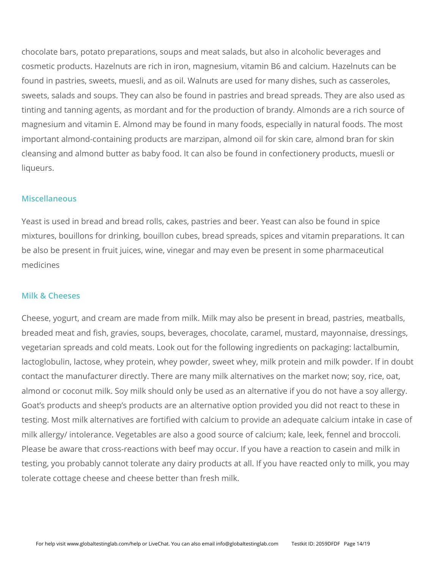chocolate bars, potato preparations, soups and meat salads, but also in alcoholic beverages and cosmetic products. Hazelnuts are rich in iron, magnesium, vitamin B6 and calcium. Hazelnuts can be found in pastries, sweets, muesli, and as oil. Walnuts are used for many dishes, such as casseroles, sweets, salads and soups. They can also be found in pastries and bread spreads. They are also used as tinting and tanning agents, as mordant and for the production of brandy. Almonds are a rich source of magnesium and vitamin E. Almond may be found in many foods, especially in natural foods. The most important almond-containing products are marzipan, almond oil for skin care, almond bran for skin cleansing and almond butter as baby food. It can also be found in confectionery products, muesli or liqueurs.

### **Miscellaneous**

Yeast is used in bread and bread rolls, cakes, pastries and beer. Yeast can also be found in spice mixtures, bouillons for drinking, bouillon cubes, bread spreads, spices and vitamin preparations. It can be also be present in fruit juices, wine, vinegar and may even be present in some pharmaceutical medicines

#### **Milk & Cheeses**

Cheese, yogurt, and cream are made from milk. Milk may also be present in bread, pastries, meatballs, breaded meat and fish, gravies, soups, beverages, chocolate, caramel, mustard, mayonnaise, dressings, vegetarian spreads and cold meats. Look out for the following ingredients on packaging: lactalbumin, lactoglobulin, lactose, whey protein, whey powder, sweet whey, milk protein and milk powder. If in doubt contact the manufacturer directly. There are many milk alternatives on the market now; soy, rice, oat, almond or coconut milk. Soy milk should only be used as an alternative if you do not have a soy allergy. Goat's products and sheep's products are an alternative option provided you did not react to these in testing. Most milk alternatives are fortified with calcium to provide an adequate calcium intake in case of milk allergy/ intolerance. Vegetables are also a good source of calcium; kale, leek, fennel and broccoli. Please be aware that cross-reactions with beef may occur. If you have a reaction to casein and milk in testing, you probably cannot tolerate any dairy products at all. If you have reacted only to milk, you may tolerate cottage cheese and cheese better than fresh milk.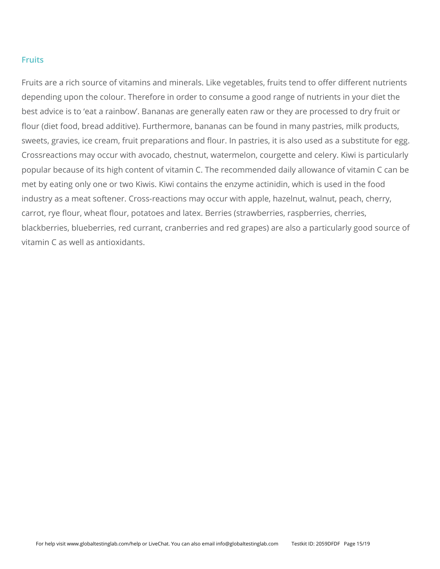### **Fruits**

Fruits are a rich source of vitamins and minerals. Like vegetables, fruits tend to offer different nutrients depending upon the colour. Therefore in order to consume a good range of nutrients in your diet the best advice is to 'eat a rainbow'. Bananas are generally eaten raw or they are processed to dry fruit or flour (diet food, bread additive). Furthermore, bananas can be found in many pastries, milk products, sweets, gravies, ice cream, fruit preparations and flour. In pastries, it is also used as a substitute for egg. Crossreactions may occur with avocado, chestnut, watermelon, courgette and celery. Kiwi is particularly popular because of its high content of vitamin C. The recommended daily allowance of vitamin C can be met by eating only one or two Kiwis. Kiwi contains the enzyme actinidin, which is used in the food industry as a meat softener. Cross-reactions may occur with apple, hazelnut, walnut, peach, cherry, carrot, rye flour, wheat flour, potatoes and latex. Berries (strawberries, raspberries, cherries, blackberries, blueberries, red currant, cranberries and red grapes) are also a particularly good source of vitamin C as well as antioxidants.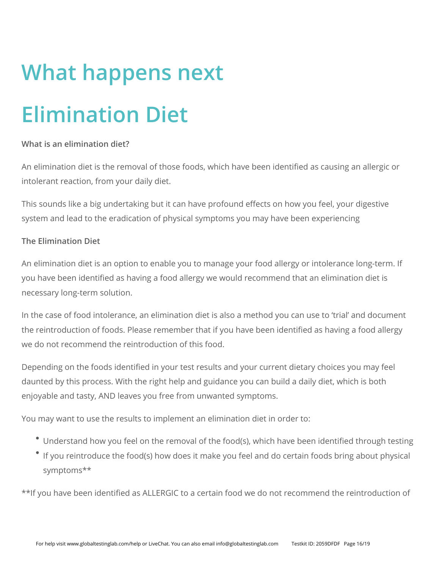# **What happens next Elimination Diet**

## **What is an elimination diet?**

An elimination diet is the removal of those foods, which have been identified as causing an allergic or intolerant reaction, from your daily diet.

This sounds like a big undertaking but it can have profound effects on how you feel, your digestive system and lead to the eradication of physical symptoms you may have been experiencing

## **The Elimination Diet**

An elimination diet is an option to enable you to manage your food allergy or intolerance long-term. If you have been identified as having a food allergy we would recommend that an elimination diet is necessary long-term solution.

In the case of food intolerance, an elimination diet is also a method you can use to 'trial' and document the reintroduction of foods. Please remember that if you have been identified as having a food allergy we do not recommend the reintroduction of this food.

Depending on the foods identified in your test results and your current dietary choices you may feel daunted by this process. With the right help and guidance you can build a daily diet, which is both enjoyable and tasty, AND leaves you free from unwanted symptoms.

You may want to use the results to implement an elimination diet in order to:

- Understand how you feel on the removal of the food(s), which have been identified through testing
- If you reintroduce the food(s) how does it make you feel and do certain foods bring about physical symptoms\*\*

\*\*If you have been identified as ALLERGIC to a certain food we do not recommend the reintroduction of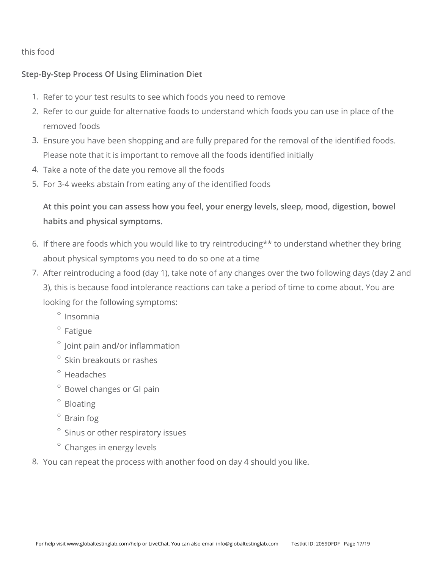this food

## **Step-By-Step Process Of Using Elimination Diet**

- 1. Refer to your test results to see which foods you need to remove
- 2. Refer to our guide for alternative foods to understand which foods you can use in place of the removed foods
- 3. Ensure you have been shopping and are fully prepared for the removal of the identified foods. Please note that it is important to remove all the foods identified initially
- 4. Take a note of the date you remove all the foods
- 5. For 3-4 weeks abstain from eating any of the identified foods

**At this point you can assess how you feel, your energy levels, sleep, mood, digestion, bowel habits and physical symptoms.**

- 6. If there are foods which you would like to try reintroducing\*\* to understand whether they bring about physical symptoms you need to do so one at a time
- 7. After reintroducing a food (day 1), take note of any changes over the two following days (day 2 and 3), this is because food intolerance reactions can take a period of time to come about. You are looking for the following symptoms:
	- $^{\circ}$  Insomnia
	- $^{\circ}$  Fatigue
	- $\degree$  Joint pain and/or inflammation
	- $\circ$ Skin breakouts or rashes
	- $^{\circ}$  Headaches
	- $^{\circ}$  Bowel changes or GI pain
	- $^{\circ}$  Bloating
	- $\degree$  Brain fog
	- Sinus or other respiratory issues
	- Changes in energy levels
- 8. You can repeat the process with another food on day 4 should you like.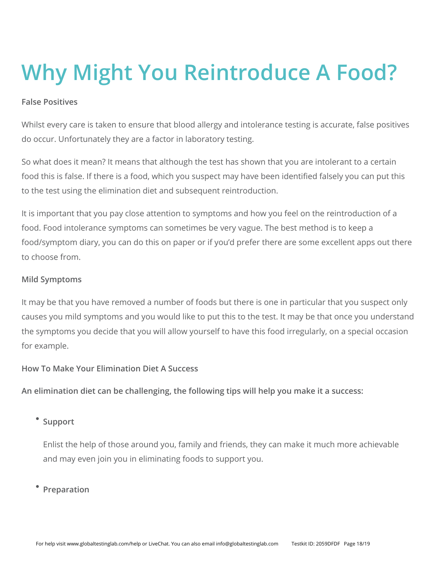# **Why Might You Reintroduce A Food?**

### **False Positives**

Whilst every care is taken to ensure that blood allergy and intolerance testing is accurate, false positives do occur. Unfortunately they are a factor in laboratory testing.

So what does it mean? It means that although the test has shown that you are intolerant to a certain food this is false. If there is a food, which you suspect may have been identified falsely you can put this to the test using the elimination diet and subsequent reintroduction.

It is important that you pay close attention to symptoms and how you feel on the reintroduction of a food. Food intolerance symptoms can sometimes be very vague. The best method is to keep a food/symptom diary, you can do this on paper or if you'd prefer there are some excellent apps out there to choose from.

### **Mild Symptoms**

It may be that you have removed a number of foods but there is one in particular that you suspect only causes you mild symptoms and you would like to put this to the test. It may be that once you understand the symptoms you decide that you will allow yourself to have this food irregularly, on a special occasion for example.

### **How To Make Your Elimination Diet A Success**

**An elimination diet can be challenging, the following tips will help you make it a success:**

## <sup>•</sup> Support

Enlist the help of those around you, family and friends, they can make it much more achievable and may even join you in eliminating foods to support you.

## **Preparation**